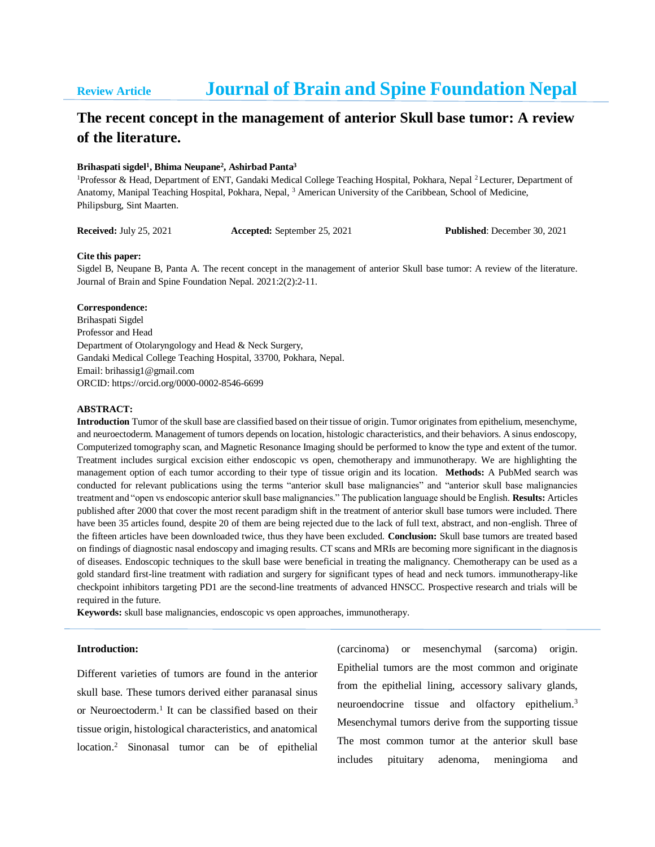# **Review Article Journal of Brain and Spine Foundation Nepal**

## **The recent concept in the management of anterior Skull base tumor: A review of the literature.**

#### **Brihaspati sigdel<sup>1</sup> , Bhima Neupane<sup>2</sup> , Ashirbad Panta<sup>3</sup>**

<sup>1</sup>Professor & Head, Department of ENT, Gandaki Medical College Teaching Hospital, Pokhara, Nepal <sup>2</sup> Lecturer, Department of Anatomy, Manipal Teaching Hospital, Pokhara, Nepal, <sup>3</sup> American University of the Caribbean, School of Medicine, Philipsburg, Sint Maarten.

**Received:** July 25, 2021 **Accepted:** September 25, 2021 **Published**: December 30, 2021

#### **Cite this paper:**

Sigdel B, Neupane B, Panta A. The recent concept in the management of anterior Skull base tumor: A review of the literature. Journal of Brain and Spine Foundation Nepal. 2021:2(2):2-11.

#### **Correspondence:**

Brihaspati Sigdel Professor and Head Department of Otolaryngology and Head & Neck Surgery, Gandaki Medical College Teaching Hospital, 33700, Pokhara, Nepal. Email: brihassig1@gmail.com ORCID: https://orcid.org/0000-0002-8546-6699

#### **ABSTRACT:**

**Introduction** Tumor of the skull base are classified based on their tissue of origin. Tumor originates from epithelium, mesenchyme, and neuroectoderm. Management of tumors depends on location, histologic characteristics, and their behaviors. A sinus endoscopy, Computerized tomography scan, and Magnetic Resonance Imaging should be performed to know the type and extent of the tumor. Treatment includes surgical excision either endoscopic vs open, chemotherapy and immunotherapy. We are highlighting the management option of each tumor according to their type of tissue origin and its location. **Methods:** A PubMed search was conducted for relevant publications using the terms "anterior skull base malignancies" and "anterior skull base malignancies treatment and "open vs endoscopic anterior skull base malignancies." The publication language should be English. **Results:** Articles published after 2000 that cover the most recent paradigm shift in the treatment of anterior skull base tumors were included. There have been 35 articles found, despite 20 of them are being rejected due to the lack of full text, abstract, and non-english. Three of the fifteen articles have been downloaded twice, thus they have been excluded. **Conclusion:** Skull base tumors are treated based on findings of diagnostic nasal endoscopy and imaging results. CT scans and MRIs are becoming more significant in the diagnosis of diseases. Endoscopic techniques to the skull base were beneficial in treating the malignancy. Chemotherapy can be used as a gold standard first-line treatment with radiation and surgery for significant types of head and neck tumors. immunotherapy-like checkpoint inhibitors targeting PD1 are the second-line treatments of advanced HNSCC. Prospective research and trials will be required in the future.

**Keywords:** skull base malignancies, endoscopic vs open approaches, immunotherapy.

#### **Introduction:**

Different varieties of tumors are found in the anterior skull base. These tumors derived either paranasal sinus or Neuroectoderm.<sup>1</sup> It can be classified based on their tissue origin, histological characteristics, and anatomical location.<sup>2</sup> Sinonasal tumor can be of epithelial

(carcinoma) or mesenchymal (sarcoma) origin. Epithelial tumors are the most common and originate from the epithelial lining, accessory salivary glands, neuroendocrine tissue and olfactory epithelium.<sup>3</sup> Mesenchymal tumors derive from the supporting tissue The most common tumor at the anterior skull base includes pituitary adenoma, meningioma and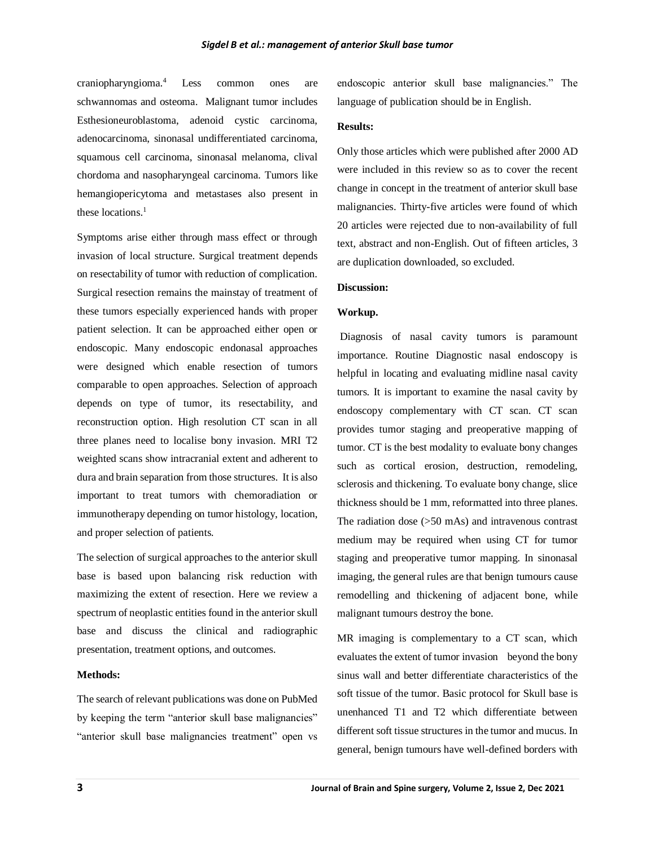craniopharyngioma.<sup>4</sup> Less common ones are schwannomas and osteoma. Malignant tumor includes Esthesioneuroblastoma, adenoid cystic carcinoma, adenocarcinoma, sinonasal undifferentiated carcinoma, squamous cell carcinoma, sinonasal melanoma, clival chordoma and nasopharyngeal carcinoma. Tumors like hemangiopericytoma and metastases also present in these locations.<sup>1</sup>

Symptoms arise either through mass effect or through invasion of local structure. Surgical treatment depends on resectability of tumor with reduction of complication. Surgical resection remains the mainstay of treatment of these tumors especially experienced hands with proper patient selection. It can be approached either open or endoscopic. Many endoscopic endonasal approaches were designed which enable resection of tumors comparable to open approaches. Selection of approach depends on type of tumor, its resectability, and reconstruction option. High resolution CT scan in all three planes need to localise bony invasion. MRI T2 weighted scans show intracranial extent and adherent to dura and brain separation from those structures. It is also important to treat tumors with chemoradiation or immunotherapy depending on tumor histology, location, and proper selection of patients.

The selection of surgical approaches to the anterior skull base is based upon balancing risk reduction with maximizing the extent of resection. Here we review a spectrum of neoplastic entities found in the anterior skull base and discuss the clinical and radiographic presentation, treatment options, and outcomes.

#### **Methods:**

The search of relevant publications was done on PubMed by keeping the term "anterior skull base malignancies" "anterior skull base malignancies treatment" open vs endoscopic anterior skull base malignancies." The language of publication should be in English.

#### **Results:**

Only those articles which were published after 2000 AD were included in this review so as to cover the recent change in concept in the treatment of anterior skull base malignancies. Thirty-five articles were found of which 20 articles were rejected due to non-availability of full text, abstract and non-English. Out of fifteen articles, 3 are duplication downloaded, so excluded.

### **Discussion:**

#### **Workup.**

Diagnosis of nasal cavity tumors is paramount importance. Routine Diagnostic nasal endoscopy is helpful in locating and evaluating midline nasal cavity tumors. It is important to examine the nasal cavity by endoscopy complementary with CT scan. CT scan provides tumor staging and preoperative mapping of tumor. CT is the best modality to evaluate bony changes such as cortical erosion, destruction, remodeling, sclerosis and thickening. To evaluate bony change, slice thickness should be 1 mm, reformatted into three planes. The radiation dose (>50 mAs) and intravenous contrast medium may be required when using CT for tumor staging and preoperative tumor mapping. In sinonasal imaging, the general rules are that benign tumours cause remodelling and thickening of adjacent bone, while malignant tumours destroy the bone.

MR imaging is complementary to a CT scan, which evaluates the extent of tumor invasion beyond the bony sinus wall and better differentiate characteristics of the soft tissue of the tumor. Basic protocol for Skull base is unenhanced T1 and T2 which differentiate between different soft tissue structures in the tumor and mucus. In general, benign tumours have well-defined borders with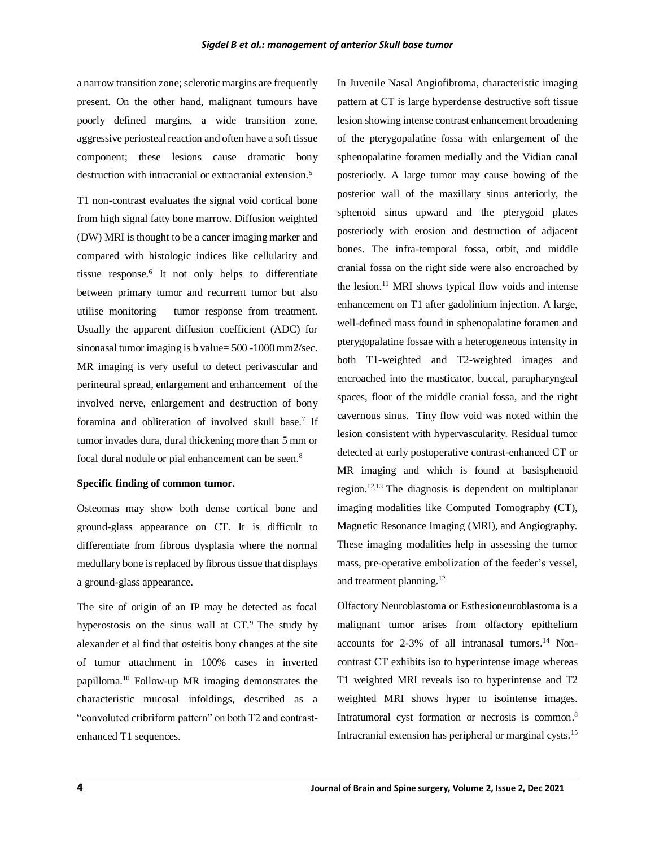a narrow transition zone; sclerotic margins are frequently present. On the other hand, malignant tumours have poorly defined margins, a wide transition zone, aggressive periosteal reaction and often have a soft tissue component; these lesions cause dramatic bony destruction with intracranial or extracranial extension.<sup>5</sup>

T1 non-contrast evaluates the signal void cortical bone from high signal fatty bone marrow. Diffusion weighted (DW) MRI is thought to be a cancer imaging marker and compared with histologic indices like cellularity and tissue response.<sup>6</sup> It not only helps to differentiate between primary tumor and recurrent tumor but also utilise monitoring tumor response from treatment. Usually the apparent diffusion coefficient (ADC) for sinonasal tumor imaging is b value= 500 -1000 mm2/sec. MR imaging is very useful to detect perivascular and perineural spread, enlargement and enhancement of the involved nerve, enlargement and destruction of bony foramina and obliteration of involved skull base.<sup>7</sup> If tumor invades dura, dural thickening more than 5 mm or focal dural nodule or pial enhancement can be seen.<sup>8</sup>

#### **Specific finding of common tumor.**

Osteomas may show both dense cortical bone and ground-glass appearance on CT. It is difficult to differentiate from fibrous dysplasia where the normal medullary bone is replaced by fibrous tissue that displays a ground-glass appearance.

The site of origin of an IP may be detected as focal hyperostosis on the sinus wall at  $CT$ .<sup>9</sup> The study by alexander et al find that osteitis bony changes at the site of tumor attachment in 100% cases in inverted papilloma.<sup>10</sup> Follow-up MR imaging demonstrates the characteristic mucosal infoldings, described as a "convoluted cribriform pattern" on both T2 and contrastenhanced T1 sequences.

In Juvenile Nasal Angiofibroma, characteristic imaging pattern at CT is large hyperdense destructive soft tissue lesion showing intense contrast enhancement broadening of the pterygopalatine fossa with enlargement of the sphenopalatine foramen medially and the Vidian canal posteriorly. A large tumor may cause bowing of the posterior wall of the maxillary sinus anteriorly, the sphenoid sinus upward and the pterygoid plates posteriorly with erosion and destruction of adjacent bones. The infra-temporal fossa, orbit, and middle cranial fossa on the right side were also encroached by the lesion.<sup>11</sup> MRI shows typical flow voids and intense enhancement on T1 after gadolinium injection. A large, well-defined mass found in sphenopalatine foramen and pterygopalatine fossae with a heterogeneous intensity in both T1-weighted and T2-weighted images and encroached into the masticator, buccal, parapharyngeal spaces, floor of the middle cranial fossa, and the right cavernous sinus. Tiny flow void was noted within the lesion consistent with hypervascularity. Residual tumor detected at early postoperative contrast-enhanced CT or MR imaging and which is found at basisphenoid region. 12,13 The diagnosis is dependent on multiplanar imaging modalities like Computed Tomography (CT), Magnetic Resonance Imaging (MRI), and Angiography. These imaging modalities help in assessing the tumor mass, pre-operative embolization of the feeder's vessel, and treatment planning. 12

Olfactory Neuroblastoma or Esthesioneuroblastoma is a malignant tumor arises from olfactory epithelium accounts for  $2-3\%$  of all intranasal tumors.<sup>14</sup> Noncontrast CT exhibits iso to hyperintense image whereas T1 weighted MRI reveals iso to hyperintense and T2 weighted MRI shows hyper to isointense images. Intratumoral cyst formation or necrosis is common.<sup>8</sup> Intracranial extension has peripheral or marginal cysts.15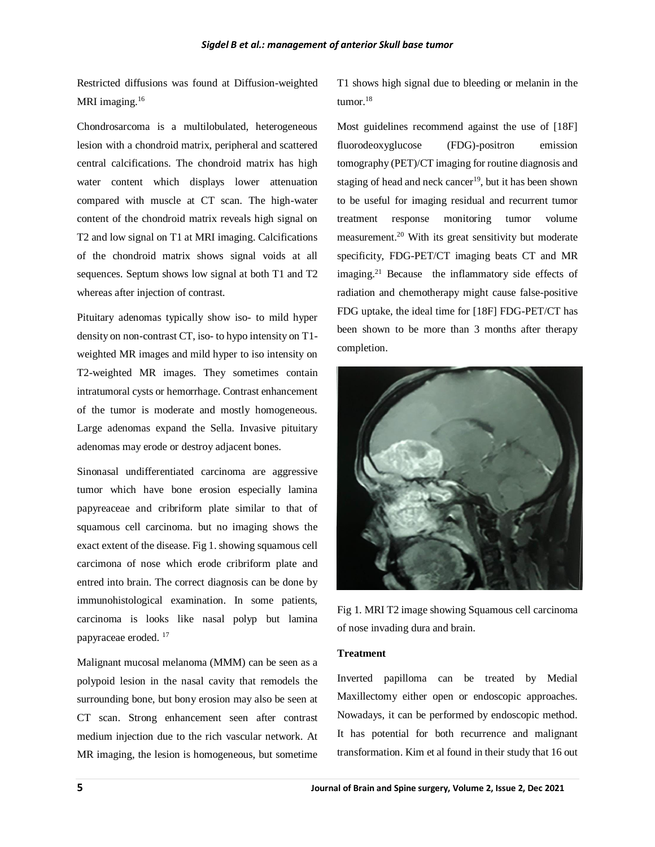Restricted diffusions was found at Diffusion-weighted MRI imaging.<sup>16</sup>

Chondrosarcoma is a multilobulated, heterogeneous lesion with a chondroid matrix, peripheral and scattered central calcifications. The chondroid matrix has high water content which displays lower attenuation compared with muscle at CT scan. The high-water content of the chondroid matrix reveals high signal on T2 and low signal on T1 at MRI imaging. Calcifications of the chondroid matrix shows signal voids at all sequences. Septum shows low signal at both T1 and T2 whereas after injection of contrast.

Pituitary adenomas typically show iso- to mild hyper density on non-contrast CT, iso- to hypo intensity on T1 weighted MR images and mild hyper to iso intensity on T2-weighted MR images. They sometimes contain intratumoral cysts or hemorrhage. Contrast enhancement of the tumor is moderate and mostly homogeneous. Large adenomas expand the Sella. Invasive pituitary adenomas may erode or destroy adjacent bones.

Sinonasal undifferentiated carcinoma are aggressive tumor which have bone erosion especially lamina papyreaceae and cribriform plate similar to that of squamous cell carcinoma. but no imaging shows the exact extent of the disease. Fig 1. showing squamous cell carcimona of nose which erode cribriform plate and entred into brain. The correct diagnosis can be done by immunohistological examination. In some patients, carcinoma is looks like nasal polyp but lamina papyraceae eroded. <sup>17</sup>

Malignant mucosal melanoma (MMM) can be seen as a polypoid lesion in the nasal cavity that remodels the surrounding bone, but bony erosion may also be seen at CT scan. Strong enhancement seen after contrast medium injection due to the rich vascular network. At MR imaging, the lesion is homogeneous, but sometime T1 shows high signal due to bleeding or melanin in the tumor.<sup>18</sup>

Most guidelines recommend against the use of [18F] fluorodeoxyglucose (FDG)-positron emission tomography (PET)/CT imaging for routine diagnosis and staging of head and neck cancer<sup>19</sup>, but it has been shown to be useful for imaging residual and recurrent tumor treatment response monitoring tumor volume measurement. <sup>20</sup> With its great sensitivity but moderate specificity, FDG-PET/CT imaging beats CT and MR imaging.<sup>21</sup> Because the inflammatory side effects of radiation and chemotherapy might cause false-positive FDG uptake, the ideal time for [18F] FDG-PET/CT has been shown to be more than 3 months after therapy completion.



Fig 1. MRI T2 image showing Squamous cell carcinoma of nose invading dura and brain.

#### **Treatment**

Inverted papilloma can be treated by Medial Maxillectomy either open or endoscopic approaches. Nowadays, it can be performed by endoscopic method. It has potential for both recurrence and malignant transformation. Kim et al found in their study that 16 out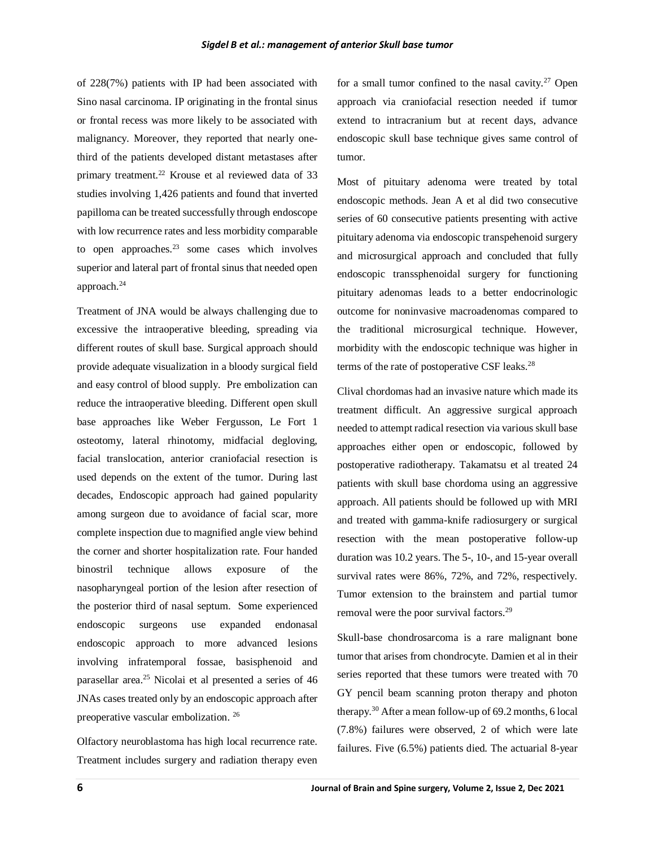of 228(7%) patients with IP had been associated with Sino nasal carcinoma. IP originating in the frontal sinus or frontal recess was more likely to be associated with malignancy. Moreover, they reported that nearly onethird of the patients developed distant metastases after primary treatment.<sup>22</sup> Krouse et al reviewed data of 33 studies involving 1,426 patients and found that inverted papilloma can be treated successfully through endoscope with low recurrence rates and less morbidity comparable to open approaches. $23$  some cases which involves superior and lateral part of frontal sinus that needed open approach.<sup>24</sup>

Treatment of JNA would be always challenging due to excessive the intraoperative bleeding, spreading via different routes of skull base. Surgical approach should provide adequate visualization in a bloody surgical field and easy control of blood supply. Pre embolization can reduce the intraoperative bleeding. Different open skull base approaches like Weber Fergusson, Le Fort 1 osteotomy, lateral rhinotomy, midfacial degloving, facial translocation, anterior craniofacial resection is used depends on the extent of the tumor. During last decades, Endoscopic approach had gained popularity among surgeon due to avoidance of facial scar, more complete inspection due to magnified angle view behind the corner and shorter hospitalization rate. Four handed binostril technique allows exposure of the nasopharyngeal portion of the lesion after resection of the posterior third of nasal septum. Some experienced endoscopic surgeons use expanded endonasal endoscopic approach to more advanced lesions involving infratemporal fossae, basisphenoid and parasellar area.<sup>25</sup> Nicolai et al presented a series of 46 JNAs cases treated only by an endoscopic approach after preoperative vascular embolization. <sup>26</sup>

Olfactory neuroblastoma has high local recurrence rate. Treatment includes surgery and radiation therapy even for a small tumor confined to the nasal cavity.<sup>27</sup> Open approach via craniofacial resection needed if tumor extend to intracranium but at recent days, advance endoscopic skull base technique gives same control of tumor.

Most of pituitary adenoma were treated by total endoscopic methods. Jean A et al did two consecutive series of 60 consecutive patients presenting with active pituitary adenoma via endoscopic transpehenoid surgery and microsurgical approach and concluded that fully endoscopic transsphenoidal surgery for functioning pituitary adenomas leads to a better endocrinologic outcome for noninvasive macroadenomas compared to the traditional microsurgical technique. However, morbidity with the endoscopic technique was higher in terms of the rate of postoperative CSF leaks.<sup>28</sup>

Clival chordomas had an invasive nature which made its treatment difficult. An aggressive surgical approach needed to attempt radical resection via various skull base approaches either open or endoscopic, followed by postoperative radiotherapy. Takamatsu et al treated 24 patients with skull base chordoma using an aggressive approach. All patients should be followed up with MRI and treated with gamma-knife radiosurgery or surgical resection with the mean postoperative follow-up duration was 10.2 years. The 5-, 10-, and 15-year overall survival rates were 86%, 72%, and 72%, respectively. Tumor extension to the brainstem and partial tumor removal were the poor survival factors.<sup>29</sup>

Skull-base chondrosarcoma is a rare malignant bone tumor that arises from chondrocyte. Damien et al in their series reported that these tumors were treated with 70 GY pencil beam scanning proton therapy and photon therapy.<sup>30</sup> After a mean follow-up of 69.2 months, 6 local (7.8%) failures were observed, 2 of which were late failures. Five (6.5%) patients died. The actuarial 8-year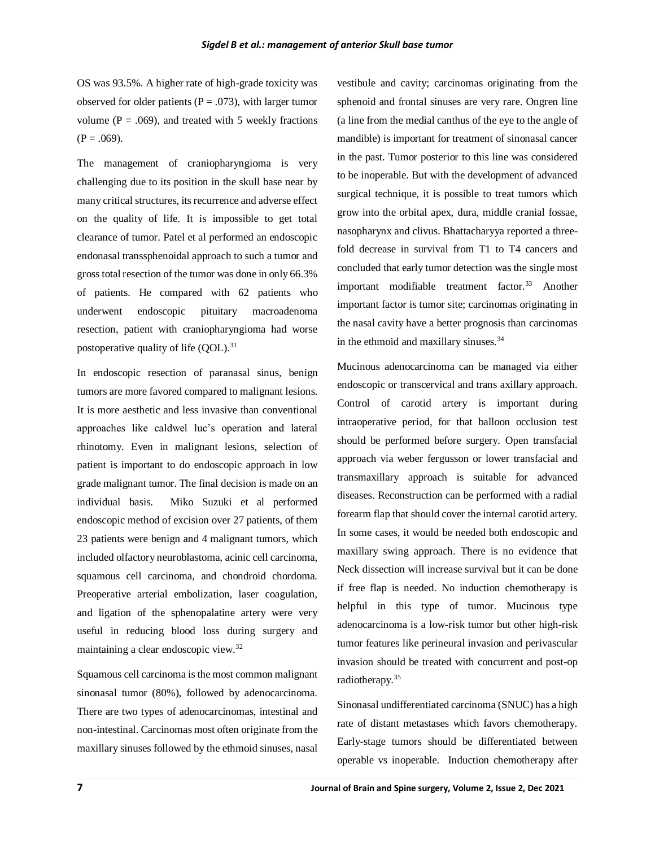OS was 93.5%. A higher rate of high-grade toxicity was observed for older patients ( $P = .073$ ), with larger tumor volume ( $P = .069$ ), and treated with 5 weekly fractions  $(P = .069)$ .

The management of craniopharyngioma is very challenging due to its position in the skull base near by many critical structures, its recurrence and adverse effect on the quality of life. It is impossible to get total clearance of tumor. Patel et al performed an endoscopic endonasal transsphenoidal approach to such a tumor and gross total resection of the tumor was done in only 66.3% of patients. He compared with 62 patients who underwent endoscopic pituitary macroadenoma resection, patient with craniopharyngioma had worse postoperative quality of life (QOL).<sup>31</sup>

In endoscopic resection of paranasal sinus, benign tumors are more favored compared to malignant lesions. It is more aesthetic and less invasive than conventional approaches like caldwel luc's operation and lateral rhinotomy. Even in malignant lesions, selection of patient is important to do endoscopic approach in low grade malignant tumor. The final decision is made on an individual basis. Miko Suzuki et al performed endoscopic method of excision over 27 patients, of them 23 patients were benign and 4 malignant tumors, which included olfactory neuroblastoma, acinic cell carcinoma, squamous cell carcinoma, and chondroid chordoma. Preoperative arterial embolization, laser coagulation, and ligation of the sphenopalatine artery were very useful in reducing blood loss during surgery and maintaining a clear endoscopic view.<sup>32</sup>

Squamous cell carcinoma is the most common malignant sinonasal tumor (80%), followed by adenocarcinoma. There are two types of adenocarcinomas, intestinal and non-intestinal. Carcinomas most often originate from the maxillary sinuses followed by the ethmoid sinuses, nasal

vestibule and cavity; carcinomas originating from the sphenoid and frontal sinuses are very rare. Ongren line (a line from the medial canthus of the eye to the angle of mandible) is important for treatment of sinonasal cancer in the past. Tumor posterior to this line was considered to be inoperable. But with the development of advanced surgical technique, it is possible to treat tumors which grow into the orbital apex, dura, middle cranial fossae, nasopharynx and clivus. Bhattacharyya reported a threefold decrease in survival from T1 to T4 cancers and concluded that early tumor detection was the single most important modifiable treatment factor.<sup>33</sup> Another important factor is tumor site; carcinomas originating in the nasal cavity have a better prognosis than carcinomas in the ethmoid and maxillary sinuses.<sup>34</sup>

Mucinous adenocarcinoma can be managed via either endoscopic or transcervical and trans axillary approach. Control of carotid artery is important during intraoperative period, for that balloon occlusion test should be performed before surgery. Open transfacial approach via weber fergusson or lower transfacial and transmaxillary approach is suitable for advanced diseases. Reconstruction can be performed with a radial forearm flap that should cover the internal carotid artery. In some cases, it would be needed both endoscopic and maxillary swing approach. There is no evidence that Neck dissection will increase survival but it can be done if free flap is needed. No induction chemotherapy is helpful in this type of tumor. Mucinous type adenocarcinoma is a low-risk tumor but other high-risk tumor features like perineural invasion and perivascular invasion should be treated with concurrent and post-op radiotherapy.<sup>35</sup>

Sinonasal undifferentiated carcinoma (SNUC) has a high rate of distant metastases which favors chemotherapy. Early-stage tumors should be differentiated between operable vs inoperable. Induction chemotherapy after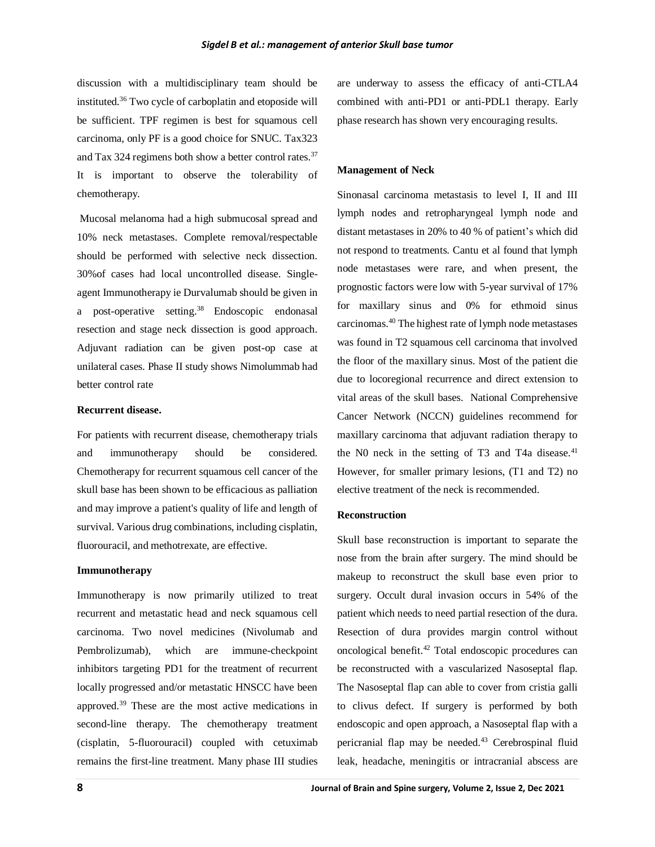discussion with a multidisciplinary team should be instituted.<sup>36</sup> Two cycle of carboplatin and etoposide will be sufficient. TPF regimen is best for squamous cell carcinoma, only PF is a good choice for SNUC. Tax323 and Tax 324 regimens both show a better control rates.<sup>37</sup> It is important to observe the tolerability of chemotherapy.

Mucosal melanoma had a high submucosal spread and 10% neck metastases. Complete removal/respectable should be performed with selective neck dissection. 30%of cases had local uncontrolled disease. Singleagent Immunotherapy ie Durvalumab should be given in a post-operative setting.<sup>38</sup> Endoscopic endonasal resection and stage neck dissection is good approach. Adjuvant radiation can be given post-op case at unilateral cases. Phase II study shows Nimolummab had better control rate

#### **Recurrent disease.**

For patients with recurrent disease, chemotherapy trials and immunotherapy should be considered. Chemotherapy for recurrent squamous cell cancer of the skull base has been shown to be efficacious as palliation and may improve a patient's quality of life and length of survival. Various drug combinations, including cisplatin, fluorouracil, and methotrexate, are effective.

#### **Immunotherapy**

Immunotherapy is now primarily utilized to treat recurrent and metastatic head and neck squamous cell carcinoma. Two novel medicines (Nivolumab and Pembrolizumab), which are immune-checkpoint inhibitors targeting PD1 for the treatment of recurrent locally progressed and/or metastatic HNSCC have been approved.<sup>39</sup> These are the most active medications in second-line therapy. The chemotherapy treatment (cisplatin, 5-fluorouracil) coupled with cetuximab remains the first-line treatment. Many phase III studies are underway to assess the efficacy of anti-CTLA4 combined with anti-PD1 or anti-PDL1 therapy. Early phase research has shown very encouraging results.

#### **Management of Neck**

Sinonasal carcinoma metastasis to level I, II and III lymph nodes and retropharyngeal lymph node and distant metastases in 20% to 40 % of patient's which did not respond to treatments. Cantu et al found that lymph node metastases were rare, and when present, the prognostic factors were low with 5-year survival of 17% for maxillary sinus and 0% for ethmoid sinus carcinomas.<sup>40</sup> The highest rate of lymph node metastases was found in T2 squamous cell carcinoma that involved the floor of the maxillary sinus. Most of the patient die due to locoregional recurrence and direct extension to vital areas of the skull bases. National Comprehensive Cancer Network (NCCN) guidelines recommend for maxillary carcinoma that adjuvant radiation therapy to the N0 neck in the setting of T3 and T4a disease. $41$ However, for smaller primary lesions, (T1 and T2) no elective treatment of the neck is recommended.

#### **Reconstruction**

Skull base reconstruction is important to separate the nose from the brain after surgery. The mind should be makeup to reconstruct the skull base even prior to surgery. Occult dural invasion occurs in 54% of the patient which needs to need partial resection of the dura. Resection of dura provides margin control without oncological benefit.<sup>42</sup> Total endoscopic procedures can be reconstructed with a vascularized Nasoseptal flap. The Nasoseptal flap can able to cover from cristia galli to clivus defect. If surgery is performed by both endoscopic and open approach, a Nasoseptal flap with a pericranial flap may be needed.<sup>43</sup> Cerebrospinal fluid leak, headache, meningitis or intracranial abscess are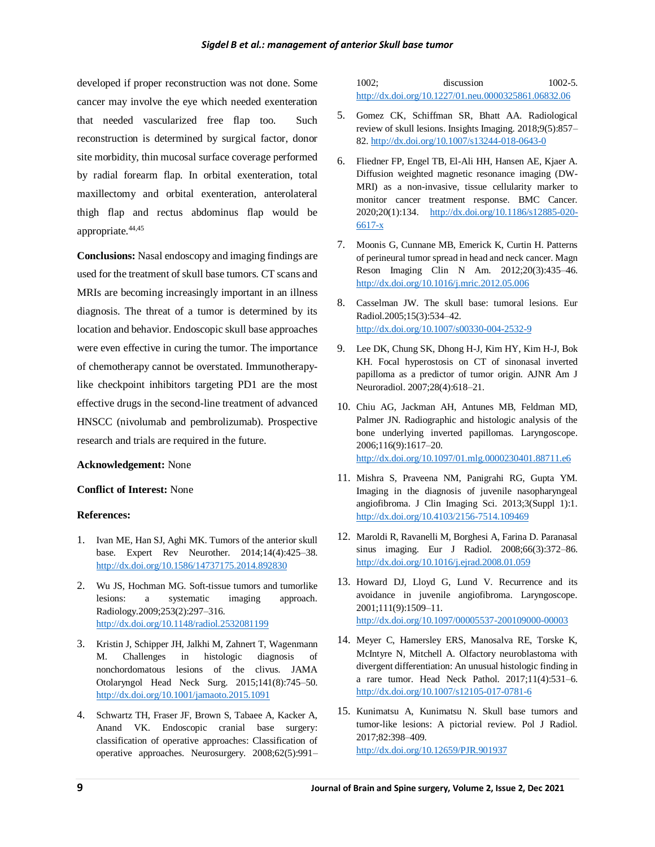developed if proper reconstruction was not done. Some cancer may involve the eye which needed exenteration that needed vascularized free flap too. Such reconstruction is determined by surgical factor, donor site morbidity, thin mucosal surface coverage performed by radial forearm flap. In orbital exenteration, total maxillectomy and orbital exenteration, anterolateral thigh flap and rectus abdominus flap would be appropriate.<sup>44,45</sup>

**Conclusions:** Nasal endoscopy and imaging findings are used for the treatment of skull base tumors. CT scans and MRIs are becoming increasingly important in an illness diagnosis. The threat of a tumor is determined by its location and behavior. Endoscopic skull base approaches were even effective in curing the tumor. The importance of chemotherapy cannot be overstated. Immunotherapylike checkpoint inhibitors targeting PD1 are the most effective drugs in the second-line treatment of advanced HNSCC (nivolumab and pembrolizumab). Prospective research and trials are required in the future.

#### **Acknowledgement:** None

#### **Conflict of Interest:** None

#### **References:**

- 1. Ivan ME, Han SJ, Aghi MK. Tumors of the anterior skull base. Expert Rev Neurother. 2014;14(4):425–38. <http://dx.doi.org/10.1586/14737175.2014.892830>
- 2. Wu JS, Hochman MG. Soft-tissue tumors and tumorlike lesions: a systematic imaging approach. Radiology.2009;253(2):297–316. <http://dx.doi.org/10.1148/radiol.2532081199>
- 3. Kristin J, Schipper JH, Jalkhi M, Zahnert T, Wagenmann M. Challenges in histologic diagnosis of nonchordomatous lesions of the clivus. JAMA Otolaryngol Head Neck Surg. 2015;141(8):745–50. <http://dx.doi.org/10.1001/jamaoto.2015.1091>
- 4. Schwartz TH, Fraser JF, Brown S, Tabaee A, Kacker A, Anand VK. Endoscopic cranial base surgery: classification of operative approaches: Classification of operative approaches. Neurosurgery. 2008;62(5):991–

1002; discussion 1002-5. <http://dx.doi.org/10.1227/01.neu.0000325861.06832.06>

- 5. Gomez CK, Schiffman SR, Bhatt AA. Radiological review of skull lesions. Insights Imaging. 2018;9(5):857– 82[. http://dx.doi.org/10.1007/s13244-018-0643-0](http://dx.doi.org/10.1007/s13244-018-0643-0)
- 6. Fliedner FP, Engel TB, El-Ali HH, Hansen AE, Kjaer A. Diffusion weighted magnetic resonance imaging (DW-MRI) as a non-invasive, tissue cellularity marker to monitor cancer treatment response. BMC Cancer. 2020;20(1):134. [http://dx.doi.org/10.1186/s12885-020-](http://dx.doi.org/10.1186/s12885-020-6617-x) [6617-x](http://dx.doi.org/10.1186/s12885-020-6617-x)
- 7. Moonis G, Cunnane MB, Emerick K, Curtin H. Patterns of perineural tumor spread in head and neck cancer. Magn Reson Imaging Clin N Am. 2012;20(3):435–46. <http://dx.doi.org/10.1016/j.mric.2012.05.006>
- 8. Casselman JW. The skull base: tumoral lesions. Eur Radiol.2005;15(3):534–42. <http://dx.doi.org/10.1007/s00330-004-2532-9>
- 9. Lee DK, Chung SK, Dhong H-J, Kim HY, Kim H-J, Bok KH. Focal hyperostosis on CT of sinonasal inverted papilloma as a predictor of tumor origin. AJNR Am J Neuroradiol. 2007;28(4):618–21.
- 10. Chiu AG, Jackman AH, Antunes MB, Feldman MD, Palmer JN. Radiographic and histologic analysis of the bone underlying inverted papillomas. Laryngoscope. 2006;116(9):1617–20. <http://dx.doi.org/10.1097/01.mlg.0000230401.88711.e6>
- 11. Mishra S, Praveena NM, Panigrahi RG, Gupta YM. Imaging in the diagnosis of juvenile nasopharyngeal angiofibroma. J Clin Imaging Sci. 2013;3(Suppl 1):1. <http://dx.doi.org/10.4103/2156-7514.109469>
- 12. Maroldi R, Ravanelli M, Borghesi A, Farina D. Paranasal sinus imaging. Eur J Radiol. 2008;66(3):372–86. <http://dx.doi.org/10.1016/j.ejrad.2008.01.059>
- 13. Howard DJ, Lloyd G, Lund V. Recurrence and its avoidance in juvenile angiofibroma. Laryngoscope. 2001;111(9):1509–11. <http://dx.doi.org/10.1097/00005537-200109000-00003>
- 14. Meyer C, Hamersley ERS, Manosalva RE, Torske K, McIntyre N, Mitchell A. Olfactory neuroblastoma with divergent differentiation: An unusual histologic finding in a rare tumor. Head Neck Pathol. 2017;11(4):531–6. <http://dx.doi.org/10.1007/s12105-017-0781-6>
- 15. Kunimatsu A, Kunimatsu N. Skull base tumors and tumor-like lesions: A pictorial review. Pol J Radiol. 2017;82:398–409. <http://dx.doi.org/10.12659/PJR.901937>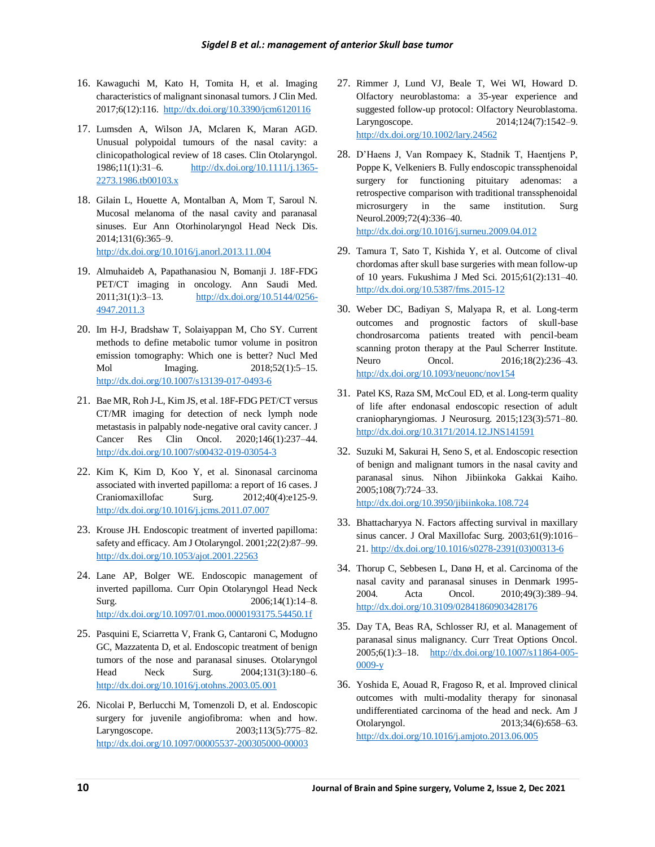- 16. Kawaguchi M, Kato H, Tomita H, et al. Imaging characteristics of malignant sinonasal tumors. J Clin Med. 2017;6(12):116.<http://dx.doi.org/10.3390/jcm6120116>
- 17. Lumsden A, Wilson JA, Mclaren K, Maran AGD. Unusual polypoidal tumours of the nasal cavity: a clinicopathological review of 18 cases. Clin Otolaryngol. 1986;11(1):31–6. [http://dx.doi.org/10.1111/j.1365-](http://dx.doi.org/10.1111/j.1365-2273.1986.tb00103.x) [2273.1986.tb00103.x](http://dx.doi.org/10.1111/j.1365-2273.1986.tb00103.x)
- 18. Gilain L, Houette A, Montalban A, Mom T, Saroul N. Mucosal melanoma of the nasal cavity and paranasal sinuses. Eur Ann Otorhinolaryngol Head Neck Dis. 2014;131(6):365–9. <http://dx.doi.org/10.1016/j.anorl.2013.11.004>
- 19. Almuhaideb A, Papathanasiou N, Bomanji J. 18F-FDG PET/CT imaging in oncology. Ann Saudi Med. 2011;31(1):3–13. [http://dx.doi.org/10.5144/0256-](http://dx.doi.org/10.5144/0256-4947.2011.3) [4947.2011.3](http://dx.doi.org/10.5144/0256-4947.2011.3)
- 20. Im H-J, Bradshaw T, Solaiyappan M, Cho SY. Current methods to define metabolic tumor volume in positron emission tomography: Which one is better? Nucl Med Mol Imaging. 2018;52(1):5–15. <http://dx.doi.org/10.1007/s13139-017-0493-6>
- 21. Bae MR, Roh J-L, Kim JS, et al. 18F-FDG PET/CT versus CT/MR imaging for detection of neck lymph node metastasis in palpably node-negative oral cavity cancer. J Cancer Res Clin Oncol. 2020;146(1):237–44. <http://dx.doi.org/10.1007/s00432-019-03054-3>
- 22. Kim K, Kim D, Koo Y, et al. Sinonasal carcinoma associated with inverted papilloma: a report of 16 cases. J Craniomaxillofac Surg. 2012;40(4):e125-9. <http://dx.doi.org/10.1016/j.jcms.2011.07.007>
- 23. Krouse JH. Endoscopic treatment of inverted papilloma: safety and efficacy. Am J Otolaryngol. 2001;22(2):87–99. <http://dx.doi.org/10.1053/ajot.2001.22563>
- 24. Lane AP, Bolger WE. Endoscopic management of inverted papilloma. Curr Opin Otolaryngol Head Neck Surg. 2006;14(1):14–8. <http://dx.doi.org/10.1097/01.moo.0000193175.54450.1f>
- 25. Pasquini E, Sciarretta V, Frank G, Cantaroni C, Modugno GC, Mazzatenta D, et al. Endoscopic treatment of benign tumors of the nose and paranasal sinuses. Otolaryngol Head Neck Surg. 2004;131(3):180–6. <http://dx.doi.org/10.1016/j.otohns.2003.05.001>
- 26. Nicolai P, Berlucchi M, Tomenzoli D, et al. Endoscopic surgery for juvenile angiofibroma: when and how. Laryngoscope. 2003;113(5):775–82. <http://dx.doi.org/10.1097/00005537-200305000-00003>
- 27. Rimmer J, Lund VJ, Beale T, Wei WI, Howard D. Olfactory neuroblastoma: a 35-year experience and suggested follow-up protocol: Olfactory Neuroblastoma. Laryngoscope. 2014;124(7):1542–9. <http://dx.doi.org/10.1002/lary.24562>
- 28. D'Haens J, Van Rompaey K, Stadnik T, Haentjens P, Poppe K, Velkeniers B. Fully endoscopic transsphenoidal surgery for functioning pituitary adenomas: a retrospective comparison with traditional transsphenoidal microsurgery in the same institution. Surg Neurol.2009;72(4):336–40. <http://dx.doi.org/10.1016/j.surneu.2009.04.012>
- 29. Tamura T, Sato T, Kishida Y, et al. Outcome of clival chordomas after skull base surgeries with mean follow-up of 10 years. Fukushima J Med Sci. 2015;61(2):131–40. <http://dx.doi.org/10.5387/fms.2015-12>
- 30. Weber DC, Badiyan S, Malyapa R, et al. Long-term outcomes and prognostic factors of skull-base chondrosarcoma patients treated with pencil-beam scanning proton therapy at the Paul Scherrer Institute. Neuro Oncol. 2016;18(2):236–43. <http://dx.doi.org/10.1093/neuonc/nov154>
- 31. Patel KS, Raza SM, McCoul ED, et al. Long-term quality of life after endonasal endoscopic resection of adult craniopharyngiomas. J Neurosurg. 2015;123(3):571–80. <http://dx.doi.org/10.3171/2014.12.JNS141591>
- 32. Suzuki M, Sakurai H, Seno S, et al. Endoscopic resection of benign and malignant tumors in the nasal cavity and paranasal sinus. Nihon Jibiinkoka Gakkai Kaiho. 2005;108(7):724–33. <http://dx.doi.org/10.3950/jibiinkoka.108.724>
- 33. Bhattacharyya N. Factors affecting survival in maxillary sinus cancer. J Oral Maxillofac Surg. 2003;61(9):1016– 21[. http://dx.doi.org/10.1016/s0278-2391\(03\)00313-6](http://dx.doi.org/10.1016/s0278-2391(03)00313-6)
- 34. Thorup C, Sebbesen L, Danø H, et al. Carcinoma of the nasal cavity and paranasal sinuses in Denmark 1995- 2004. Acta Oncol. 2010;49(3):389–94. <http://dx.doi.org/10.3109/02841860903428176>
- 35. Day TA, Beas RA, Schlosser RJ, et al. Management of paranasal sinus malignancy. Curr Treat Options Oncol. 2005;6(1):3–18. [http://dx.doi.org/10.1007/s11864-005-](http://dx.doi.org/10.1007/s11864-005-0009-y) [0009-y](http://dx.doi.org/10.1007/s11864-005-0009-y)
- 36. Yoshida E, Aouad R, Fragoso R, et al. Improved clinical outcomes with multi-modality therapy for sinonasal undifferentiated carcinoma of the head and neck. Am J Otolaryngol. 2013;34(6):658–63. <http://dx.doi.org/10.1016/j.amjoto.2013.06.005>